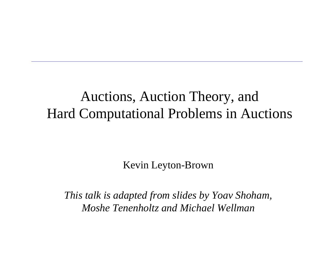### Auctions, Auction Theory, and Hard Computational Problems in Auctions

Kevin Leyton-Brown

*This talk is adapted from slides by Yoav Shoham, Moshe Tenenholtz and Michael Wellman*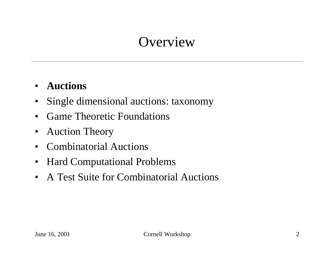# **Overview**

#### $\bullet$ **Auctions**

- $\bullet$ Single dimensional auctions: taxonomy
- •• Game Theoretic Foundations
- $\bullet$ Auction Theory
- $\bullet$ Combinatorial Auctions
- Hard Computational Problems
- A Test Suite for Combinatorial Auctions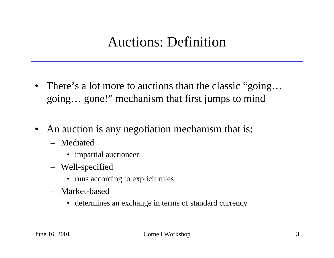# Auctions: Definition

- There's a lot more to auctions than the classic "going... going… gone!" mechanism that first jumps to mind
- An auction is any negotiation mechanism that is:
	- –Mediated
		- impartial auctioneer
	- Well-specified
		- runs according to explicit rules
	- –Market-based
		- determines an exchange in terms of standard currency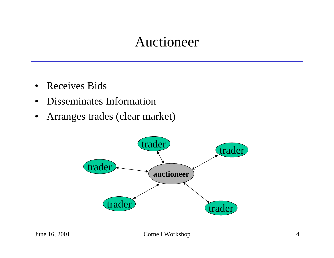### Auctioneer

- $\bullet$ Receives Bids
- •Disseminates Information
- $\bullet$ Arranges trades (clear market)

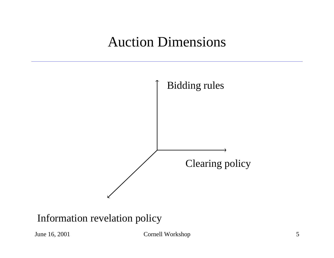### Auction Dimensions



### Information revelation policy

June 16, 2001 Cornell Workshop 5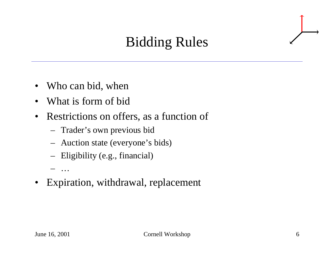# Bidding Rules

- $\bullet$ Who can bid, when
- •What is form of bid
- $\bullet$  Restrictions on offers, as a function of
	- Trader's own previous bid
	- Auction state (everyone's bids)
	- Eligibility (e.g., financial)

…

 $\bullet$ Expiration, withdrawal, replacement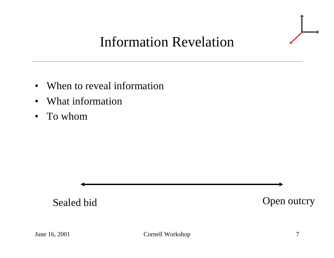

# Information Revelation

- $\bullet$ When to reveal information
- •What information
- To whom



June 16, 2001 Cornell Workshop 7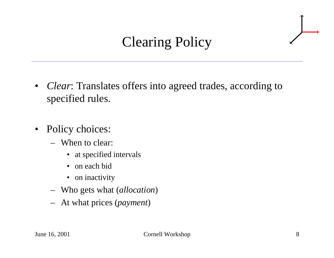# Clearing Policy

- $\bullet$  *Clear*: Translates offers into agreed trades, according to specified rules.
- $\bullet$  Policy choices:
	- When to clear:
		- at specified intervals
		- on each bid
		- on inactivity
	- Who gets what (*allocation*)
	- At what prices (*paymen<sup>t</sup>*)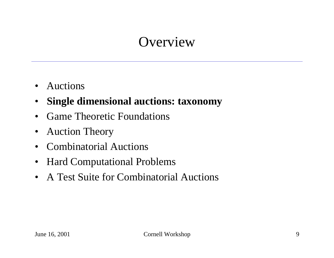# **Overview**

- $\bullet$ Auctions
- $\bullet$ **Single dimensional auctions: taxonomy**
- •Game Theoretic Foundations
- $\bullet$ Auction Theory
- $\bullet$ Combinatorial Auctions
- Hard Computational Problems
- A Test Suite for Combinatorial Auctions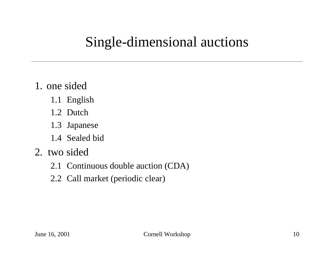### Single-dimensional auctions

- 1. one sided
	- 1.1 English
	- 1.2 Dutch
	- 1.3 Japanese
	- 1.4 Sealed bid
- 2. two sided
	- 2.1 Continuous double auction (CDA)
	- 2.2 Call market (periodic clear)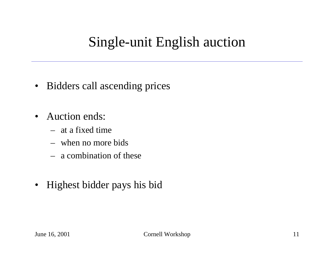# Single-unit English auction

- Bidders call ascending prices
- $\bullet$ Auction ends:
	- –at a fixed time
	- –when no more bids
	- –a combination of these
- •Highest bidder pays his bid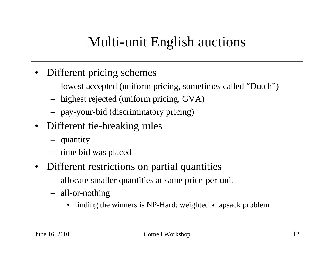# Multi-unit English auctions

- Different pricing schemes
	- lowest accepted (uniform pricing, sometimes called "Dutch")
	- highest rejected (uniform pricing, GVA)
	- pay-your-bid (discriminatory pricing)
- Different tie-breaking rules
	- quantity
	- time bid was placed
- Different restrictions on partial quantities
	- allocate smaller quantities at same price-per-unit
	- all-or-nothing
		- finding the winners is NP-Hard: weighted knapsack problem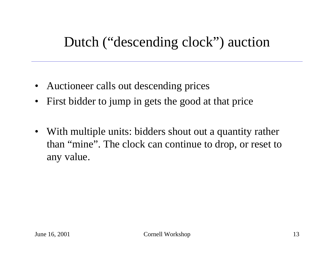### Dutch ("descending clock") auction

- Auctioneer calls out descending prices
- $\bullet$ First bidder to jump in gets the good at that price
- $\bullet$ With multiple units: bidders shout out a quantity rather than "mine". The clock can continue to drop, or reset to any value.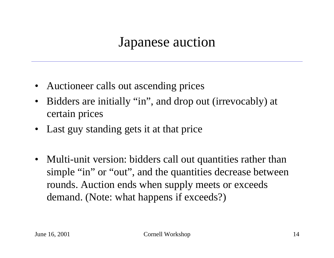### Japanese auction

- Auctioneer calls out ascending prices
- $\bullet$  Bidders are initially "in", and drop out (irrevocably) at certain prices
- Last guy standing gets it at that price
- $\bullet$  Multi-unit version: bidders call out quantities rather than simple "in" or "out", and the quantities decrease between rounds. Auction ends when supply meets or exceeds demand. (Note: what happens if exceeds?)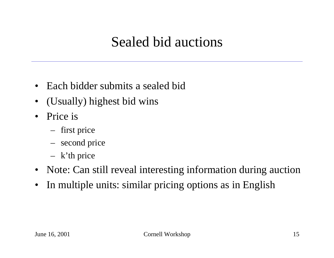### Sealed bid auctions

- •Each bidder submits a sealed bid
- $\bullet$ (Usually) highest bid wins
- •Price is
	- first price
	- second price
	- k'th price
- Note: Can still reveal interesting information during auction
- $\bullet$ In multiple units: similar pricing options as in English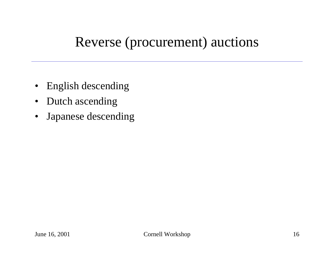### Reverse (procurement) auctions

- $\bullet$ English descending
- $\bullet$ Dutch ascending
- Japanese descending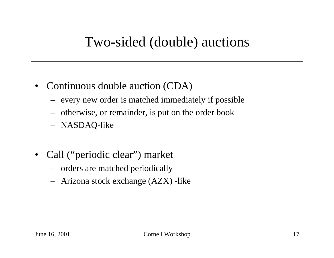### Two-sided (double) auctions

- $\bullet$ Continuous double auction (CDA)
	- every new order is matched immediately if possible
	- otherwise, or remainder, is put on the order book
	- NASDAQ-lik e
- Call ("periodic clear") market
	- orders are matched per iodically
	- Arizona stock exchange (AZX) -like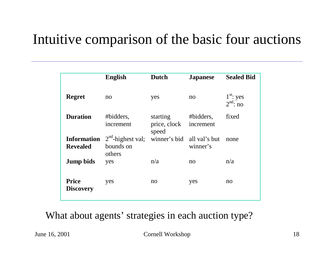# Intuitive comparison of the basic four auctions

|                                       | <b>English</b>                             | <b>Dutch</b>                      | <b>Japanese</b>           | <b>Sealed Bid</b>         |
|---------------------------------------|--------------------------------------------|-----------------------------------|---------------------------|---------------------------|
| <b>Regret</b>                         | $\mathbf{n}$                               | yes                               | $\mathbf{n}$              | $1st$ : yes<br>$2nd$ : no |
| <b>Duration</b>                       | #bidders,<br>increment                     | starting<br>price, clock<br>speed | #bidders,<br>increment    | fixed                     |
| <b>Information</b><br><b>Revealed</b> | $2nd$ -highest val;<br>bounds on<br>others | winner's bid                      | all val's but<br>winner's | none                      |
| <b>Jump bids</b>                      | yes                                        | n/a                               | no                        | n/a                       |
| <b>Price</b><br><b>Discovery</b>      | yes                                        | no                                | yes                       | no                        |

#### What about agents' strategies in each auction type?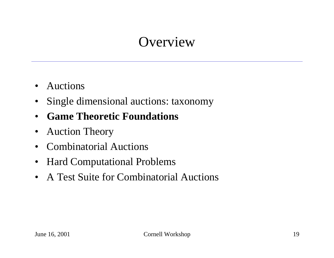# **Overview**

- $\bullet$ Auctions
- $\bullet$ Single dimensional auctions: taxonomy
- •**Game Theoretic Foundations**
- $\bullet$ Auction Theory
- $\bullet$ Combinatorial Auctions
- Hard Computational Problems
- A Test Suite for Combinatorial Auctions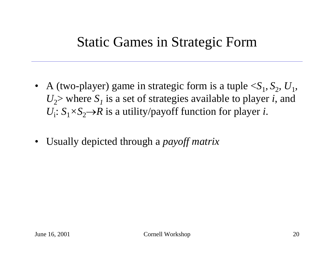### Static Games in Strategic Form

- A (two-player) game in strategic form is a tuple  $\langle S_1, S_2, U_1, \rangle$  $U_2$  where  $S_1$  is a set of strategies available to player *i*, and  $U_i$ :  $S_1 \times S_2 \rightarrow R$  is a utility/payoff function for player *i*.
- Usually depicted through a *payoff matrix*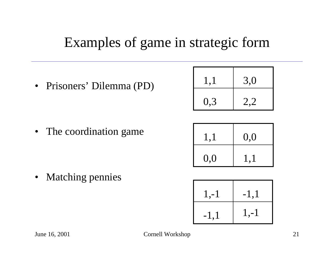### Examples of game in strategic form

• Prisoners' Dilemma (PD)

| 1,1 | 3,0 |
|-----|-----|
| 0,3 | 2,2 |

• The coordination game

| 1,1 | 0,0 |
|-----|-----|
| 0,0 | 1,1 |

 $\bullet$ Matching pennies

| $1,-1$ | $-1,1$ |
|--------|--------|
| $-1,1$ | $1,-1$ |

June 16, 2001 Cornell Workshop 21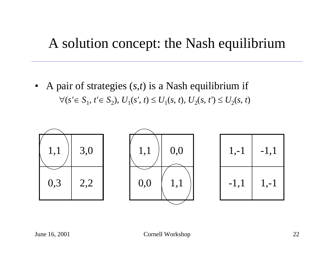### A solution concept: the Nash equilibrium

• A pair of strategies  $(s,t)$  is a Nash equilibrium if  $\forall (s' \in S_1, t' \in S_2), U_1(s', t) \le U_1(s, t), U_2(s, t') \le U_2(s, t)$ 

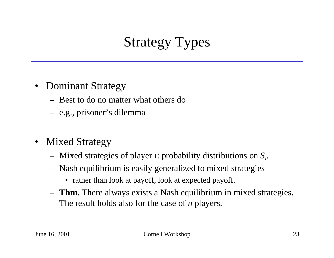# Strategy Types

- Dominant Strategy
	- Best to do no matter what others do
	- –e.g., prisoner's dilemma
- Mixed Strategy
	- Mixed strategies of player *i*: probability distributions on *Si*.
	- – Nash equilibrium is easily generalized to mixed strategies
		- rather than look at payoff, look at expected payoff.
	- – **Thm.** There always exists a Nash equilibrium in mixed strategies. The result holds also for the case of *n* players.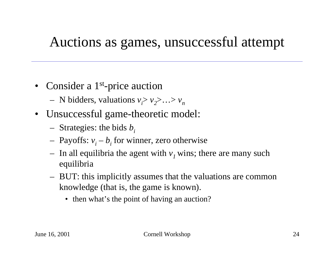### Auctions as games, unsuccessful attempt

- Consider a 1<sup>st</sup>-price auction
	- $-$  N bidders, valuations  $v_i > v_2 > ... > v_n$
- Unsuccessful game-theoretic model:
	- Strategies: the bids *bi*
	- $-$  Payoffs:  $v_i b_i$  for winner, zero otherwise
	- In all equilibria the agent with *v1* wins; there are many such equilibria
	- BUT: this implicitly assumes that the valuations are common knowledge (that is, the game is known).
		- then what's the point of having an auction?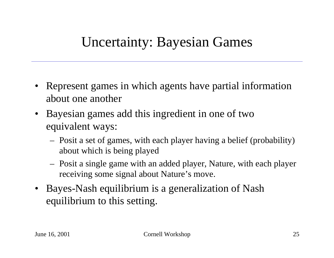- Represent games in which agents have partial information about one another
- Bayesian games add this ingredient in one of two equivalent ways:
	- Posit a set of games, with each player having a belief (probability) about which is being played
	- Posit a single game with an added player, Nature, with each player receiving some signal about Nature's move.
- Bayes-Nash equilibrium is a generalization of Nash equilibrium to this setting.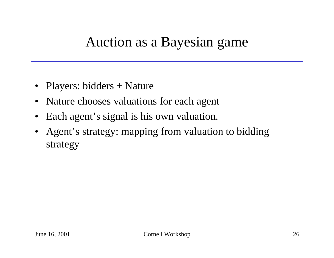### Auction as a Bayesian game

- $\bullet$ Players: bidders + Nature
- $\bullet$ Nature chooses valuations for each agent
- Each agent's signal is his own valuation.
- Agent's strategy: mapping from valuation to bidding strategy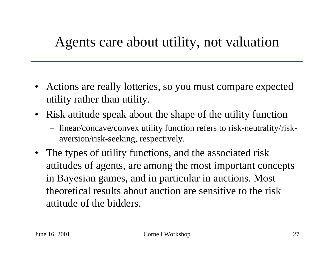# Agents care about utility, not valuation

- Actions are really lotteries, so you must compare expected utility rather than utility.
- Risk attitude speak about the shape of the utility function
	- linear/concave/convex utility function refers to risk-neutrality/riskaversion/risk-seeking, respectively.
- The types of utility functions, and the associated risk attitudes of agents, are among the most important concepts in Bayesian games, and in particular in auctions. Most theoretical results about auction are sensitive to the risk attitude of the bidders.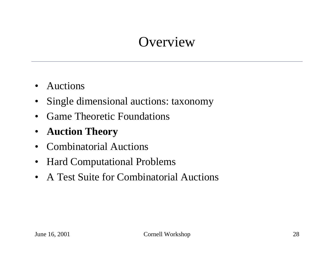# **Overview**

- $\bullet$ Auctions
- $\bullet$ Single dimensional auctions: taxonomy
- •• Game Theoretic Foundations
- $\bullet$ **Auction Theory**
- $\bullet$ Combinatorial Auctions
- Hard Computational Problems
- A Test Suite for Combinatorial Auctions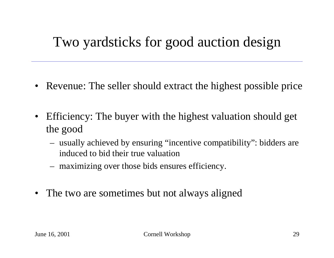# Two yardsticks for good auction design

- $\bullet$ Revenue: The seller should extract the highest possible price
- Efficiency: The buyer with the highest valuation should get the good
	- usually achieved by ensuring "incentive compatibility": bidders are induced to bid their true valuation
	- maximizing over those bids ensures efficiency.
- $\bullet$ The two are sometimes but not always aligned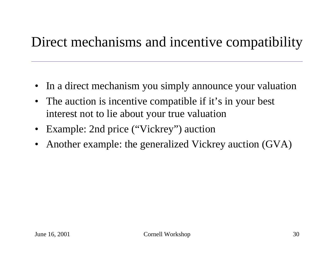# Direct mechanisms and incentive compatibility

- In a direct mechanism you simply announce your valuation
- $\bullet$ The auction is incentive compatible if it's in your best interest not to lie about your true valuation
- Example: 2nd price ("Vickrey") auction
- Another example: the generalized Vickrey auction (GVA)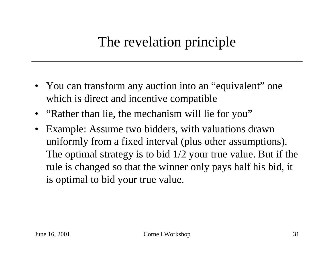# The revelation principle

- You can transform any auction into an "equivalent" one which is direct and incentive compatible
- "Rather than lie, the mechanism will lie for you"
- Example: Assume two bidders, with valuations drawn uniformly from a fixed interval (plus other assumptions). The optimal strategy is to bid 1/2 your true value. But if the rule is changed so that the winner only pays half his bid, it is optimal to bid your true value.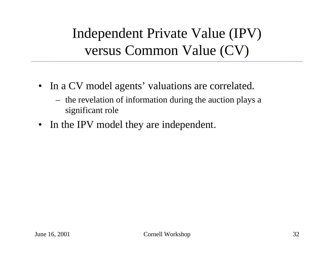Independent Private Value (IPV) versus Common Value (CV)

- In a CV model agents' valuations are correlated.
	- the revelation of information during the auction plays a significant role
- In the IPV model they are independent.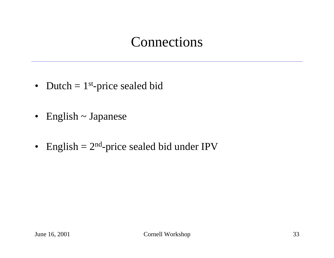### Connections

- Dutch  $= 1<sup>st</sup>$ -price sealed bid
- English ~ Japanese
- English  $= 2<sup>nd</sup>$ -price sealed bid under IPV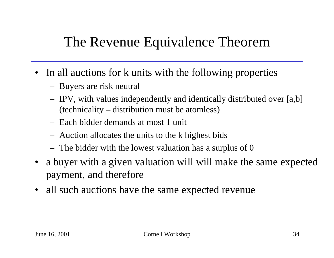### The Revenue Equivalence Theorem

- •In all auctions for k units with the following properties
	- Buyers are risk neutral
	- IPV, w ith values independently and identically distributed over [a,b] (technicality – distribution must be atomless)
	- –Each bidder demands at most 1 unit
	- Auction allocates the units to the k highest bids
	- The bidder with the lowest valuation has a surplus of 0
- $\bullet$ a buyer with a given valuation will will make the same expected payment, and therefore
- $\bullet$ all such auctions have the same expected revenue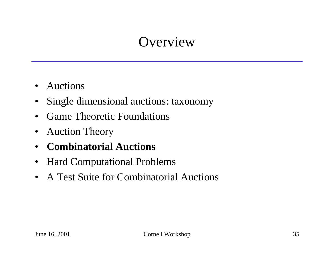# **Overview**

- $\bullet$ Auctions
- $\bullet$ Single dimensional auctions: taxonomy
- •• Game Theoretic Foundations
- $\bullet$ Auction Theory
- $\bullet$ **Combinatorial Auctions**
- Hard Computational Problems
- A Test Suite for Combinatorial Auctions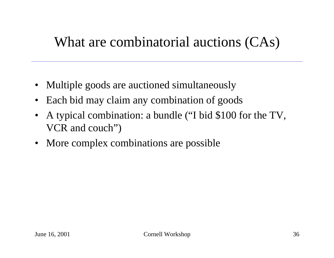# What are combinatorial auctions (CAs)

- $\bullet$ Multiple goods are auctioned simultaneously
- Each bid may claim any combination of goods
- $\bullet$ A typical combination: a bundle ("I bid \$100 for the TV, VCR and couch")
- $\bullet$ More complex combinations are possible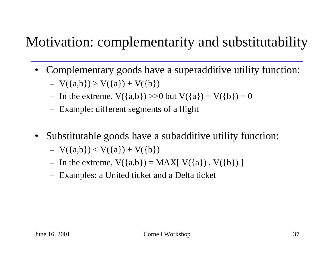## Motivation: complementarity and substitutability

- Complementary goods have a superadditive utility function:
	- $V({a,b}) > V({a}) + V({b})$
	- In the extreme,  $V({a,b}) >> 0$  but  $V({a}) = V({b}) = 0$
	- Example: different segments of a flight
- $\bullet$ Substitutable goods have a subadditive utility function:
	- $V(\{a,b\}) < V(\{a\}) + V(\{b\})$
	- $-$  In the extreme,  $V({a,b}) = MAX[V({a})$ ,  $V({b})$ ]
	- Examples: a United ticket and a Delta ticket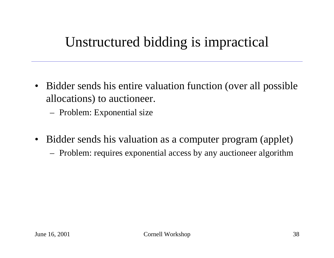## Unstructured bidding is impractical

- Bidder sends his entire valuation function (over all possible allocations) to auctioneer.
	- Problem: Exponential size
- Bidder sends his valuation as a computer program (applet)
	- Problem: requires exponential access by any auctioneer algorithm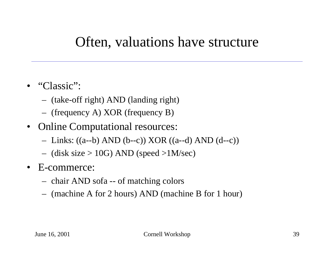#### Often, valuations have structure

- "Classic":
	- (tak e-off right) AND (land ing right)
	- (frequency A) XOR (frequency B)
- Online Computational resources:
	- Links: ((a--b) AND (b--c)) XOR ((a--d) AND (d--c))
	- (disk size > 10G) AND (speed >1M/sec)
- E-commerce:
	- chair AND sofa -- of matching colors
	- (machine A for 2 hours) AND (machine B for 1 hour)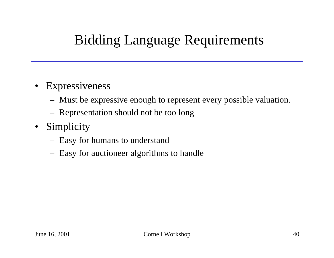## Bidding Language Requirements

#### • Expressiveness

- Must be expressive enough to represent every possible valuation.
- Representation should not be too long
- $\bullet$ Simplicity
	- Easy for humans to understand
	- Easy for auctioneer algorithms to handle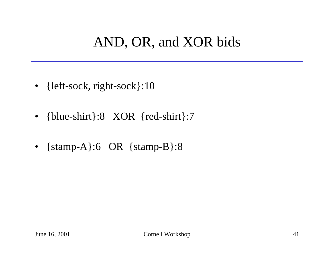## AND, OR, and XOR bids

- {left-sock, right-sock}:10
- {blue-shirt}:8 XOR {red-shirt}:7
- {stamp-A}:6 OR {stamp-B}:8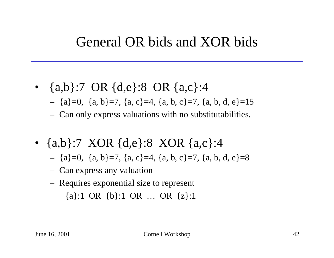#### General OR bids and XOR bids

- {a,b}:7 OR {d,e}:8 OR {a,c}:4
	- {a}=0, {a, b}=7, {a, c}=4, {a, b, c}=7, {a, b, d, e}=15
	- Can only express valuations with no sub stitutabilities.
- {a,b}:7 XOR {d,e}:8 XOR {a,c}:4
	- {a}=0, {a, b}=7, {a, c}=4, {a, b, c}=7, {a, b, d, e}=8
	- Can express any valuation
	- Requires exponential size to represent {a}:1 OR {b}:1 OR … OR {z}:1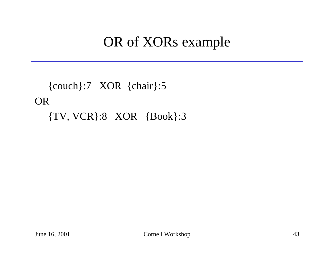#### OR of XORs example

{couch}:7 XOR {chair}:5 OR {TV, VCR}:8 XOR {Book}:3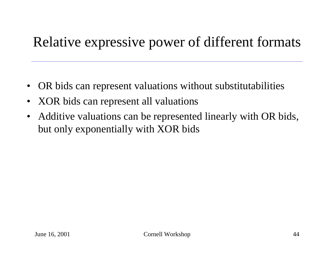## Relative expressive power of different formats

- •OR bids can represent valuations without substitutabilities
- $\bullet$ XOR bids can represent all valuations
- $\bullet$ Additive valuations can be represented linearly with OR bids, but only exponentially with XOR bids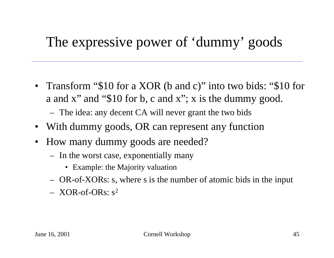#### The expressive power of 'dummy' goods

- Transform "\$10 for a XOR (b and c)" into two bids: "\$10 for a and x" and "\$10 for b, c and x"; x is the dummy good.
	- The idea: any decent CA will never grant the two bids
- With dummy goods, OR can represent any function
- $\bullet$ How many dummy goods are needed?
	- In the worst case, exponentially many
		- Example: the Majority valuation
	- OR-of-XORs: s, where s is the number of atomic bids in the input
	- $-$  XOR-of-ORs: s<sup>2</sup>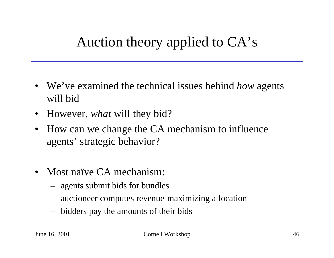# Auction theory applied to CA's

- We've examined the technical issues behind *how* agents will bid
- $\bullet$ However, *what* will they bid?
- $\bullet$ How can we change the CA mechanism to influence agents' strategic behavior?
- $\bullet$ Most naïve CA mechanism:
	- agents submit bids for bundles
	- auctioneer computes revenue-maximizing allocation
	- bidders pay the amounts of their bids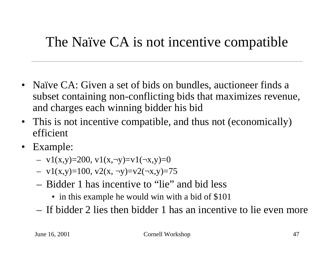## The Naïve CA is not incentive compatible

- Naïve CA: Given a set of bids on bundles, auctioneer finds a subset containing non-conflicting bids that maximizes revenue, and charges each winning bidder his bid
- This is not incentive compatible, and thus not (economically) efficient
- $\bullet$ Example:
	- – $-$  v1(x,y)=200, v1(x,¬y)=v1(¬x,y)=0
	- – $-$  v1(x,y)=100, v2(x, ¬y)=v2(¬x,y)=75
	- –Bidder 1 has incentive to "lie"and bid less
		- in this example he would win with a bid of \$101
	- If bidder 2 lies then bidder 1 has an incentive to lie even more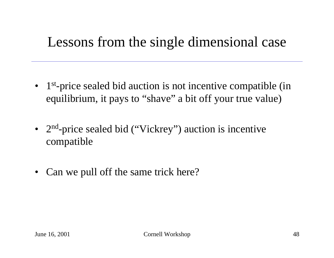#### Lessons from the single dimensional case

- 1<sup>st</sup>-price sealed bid auction is not incentive compatible (in equilibrium, it pays to "shave" a bit off your true value)
- 2<sup>nd</sup>-price sealed bid ("Vickrey") auction is incentive compatible
- $\bullet$ Can we pull off the same trick here?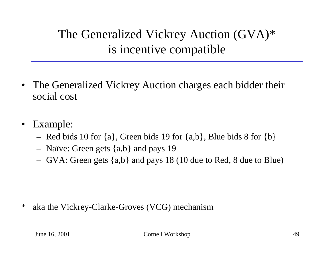#### The Generalized Vickrey Auction (GVA)\* is incentive compatible

- •The Generalized Vickrey Auction charges each bidder their social cost
- $\bullet$  E x a m p l e:
	- Red bids 10 for {a}, Green bids 19 for {a,b}, Blue bids 8 for {b}
	- Naïve: Green gets {a,b} and pays 19
	- –GVA: Green gets {a,b} and pays 18 (10 due to Red, 8 due to Blue)

\*aka the Vickrey-Clarke-Groves (VCG) mechanism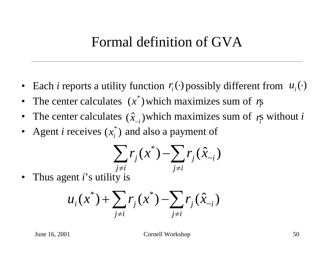## Formal definition of GVA

- •Each *i* reports a utility function  $r_i(\cdot)$  possibly different from  $u_i(\cdot)$
- •The center calculates  $(x^*)$  which maximizes sum of  $r<sub>s</sub>$
- •The center calculates  $(\hat{x}_{i})$  which maximizes sum of  $\gamma$  without *i î*<sub>→*i*</sub>) which maximizes sum of *r*<sub>*i*</sub></sub>
- •Agent *i* receives  $(x_i^*)$  and also a payment of

$$
\sum_{j\neq i} r_j(x^*) - \sum_{j\neq i} r_j(\hat{x}_{\sim i})
$$

•Thus agent *i*'s utility is

$$
u_i(x^*) + \sum_{j \neq i} r_j(x^*) - \sum_{j \neq i} r_j(\hat{x}_{\sim i})
$$

June 16, 2001 Cornell Workshop 50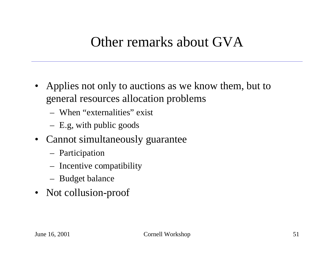#### Other remarks about GVA

- Applies not only to auctions as we know them, but to general resources allocation problems
	- –When "externalities" exist
	- E.g, with public goods
- Cannot simultaneously guarantee
	- Participation
	- Incentive compatibility
	- Budget balance
- Not collusion-proof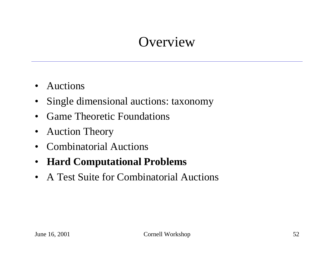## **Overview**

- $\bullet$ Auctions
- $\bullet$ Single dimensional auctions: taxonomy
- •• Game Theoretic Foundations
- $\bullet$ Auction Theory
- $\bullet$ Combinatorial Auctions
- **Hard Computational Problems**
- A Test Suite for Combinatorial Auctions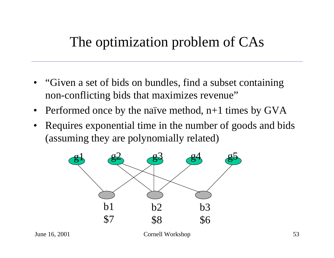## The optimization problem of CAs

- •"Given a set of bids on bundles, find a subset containing non-conflicting bids that maximizes revenue"
- •Performed once by the naïve method, n+1 times by GVA
- •Requires exponential time in the number of goods and bids (assuming they are polynomially related)



June 16, 2001 Cornell Workshop 53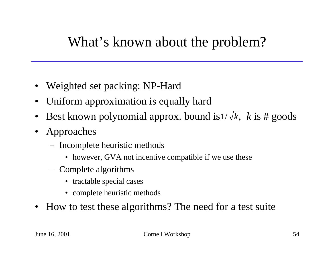## What's known about the problem?

- $\bullet$ Weighted set packing: NP-Hard
- •Uniform approximation is equally hard
- $\bullet$ Best known polynomial approx. bound is  $1/\sqrt{k}$ ,  $k$  is # goods
- $\bullet$ Approaches
	- Incomplete heuristic methods
		- however, GVA not incentive compatible if we use these
	- Complete algorithms
		- tractable special cases
		- complete heuristic methods
- $\bullet$ How to test these algorithms? The need for a test suite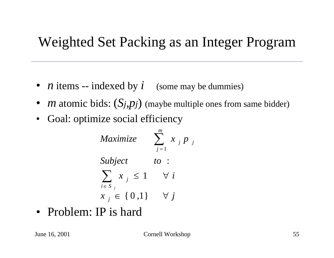### Weighted Set Packing as an Integer Program

- *n* items -- indexed by *i* (some may be dummies)
- *m* atomic bids:  $(S_j,p_j)$  (maybe multiple ones from same bidder)
- Goal: optimize social efficiency

$$
Maximize \quad \sum_{j=1}^{m} x_j p_j
$$
\n
$$
Subject \quad to :
$$
\n
$$
\sum_{i \in S_j} x_j \le 1 \quad \forall i
$$
\n
$$
x_j \in \{0,1\} \quad \forall j
$$

• Problem: IP is hard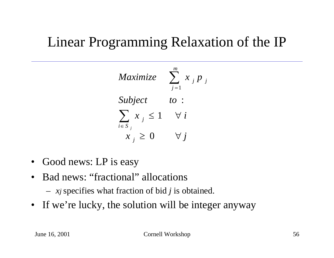#### Linear Programming Relaxation of the IP

$$
Maximize \sum_{j=1}^{m} x_{j} p_{j}
$$
  
\n
$$
Subject \t\t\t to :
$$
  
\n
$$
\sum_{i \in S_{j}} x_{j} \le 1 \quad \forall i
$$
  
\n
$$
x_{j} \ge 0 \qquad \forall j
$$

- $\bullet$ Good news: LP is easy
- •Bad news: "fractional" allocations
	- *xj* specifies what fraction of bid *j* is obtained.
- If we're lucky, the solution will be integer anyway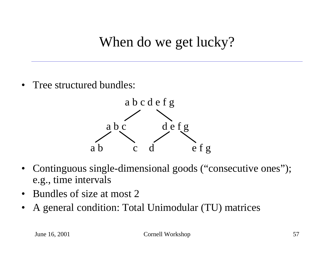## When do we get lucky?

•Tree structured bundles:



- •Continguous single-dimensional goods ("consecutive ones"); e.g., time intervals
- •Bundles of size at most 2
- •A general condition: Total Unimodular (TU) matrices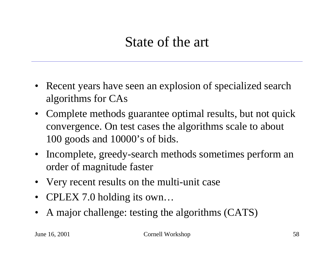## State of the art

- Recent years have seen an explosion of specialized search algorithms for CAs
- Complete methods guarantee optimal results, but not quick convergence. On test cases the algorithms scale to about 100 goods and 10000's of bids.
- Incomplete, greedy-search methods sometimes perform an order of magnitude faster
- Very recent results on the multi-unit case
- CPLEX 7.0 holding its own...
- •A major challenge: testing the algorithms (CATS)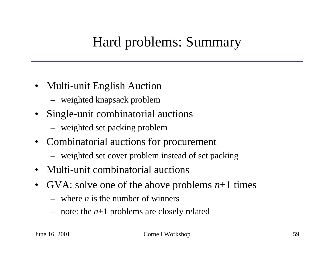#### Hard problems: Summary

- Multi-unit English Auction
	- weighted knapsack problem
- Single-unit combinatorial auctions
	- weighted set packing problem
- Combinatorial auctions for procurement
	- weighted set cover problem instead of set packing
- Multi-unit combinatorial auctions
- GVA: solve one of the above problems *n*+1 times
	- –where *n* is the number of winners
	- note: the *n*+1 problems are closely related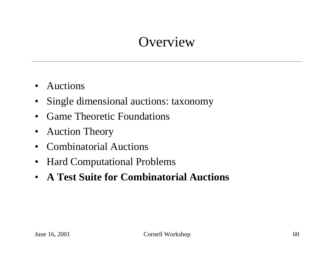## **Overview**

- $\bullet$ Auctions
- $\bullet$ Single dimensional auctions: taxonomy
- •• Game Theoretic Foundations
- $\bullet$ Auction Theory
- $\bullet$ Combinatorial Auctions
- Hard Computational Problems
- **A Test Suite for Combinatorial Auctions**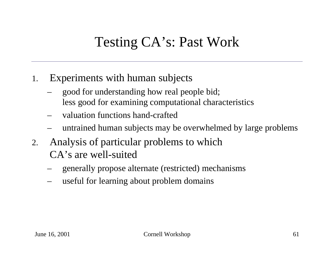# Testing CA's: Past Work

- 1. Experiments with human subjects
	- good for understanding how real people bid; less good for examining computational characteristics
	- valuation functions hand-crafted
	- untrained human subjects may be overwhelmed by large problems
- 2. Analysis of particular problems to which CA's are well-suited
	- generally propose alternate (restricted) mechanisms
	- useful for learning about problem domains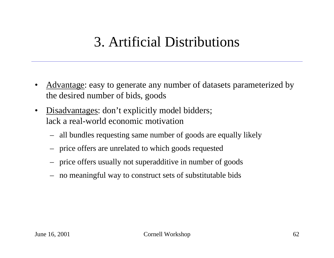#### 3. Artificial Distributions

- •Advantage: easy to generate any number of datasets parameterized by the desired number of bids, goods
- •Disadvantages: don't explicitly model bidders; lack a real-world economic motivation
	- all bundles requesting same number of goods are equally likely
	- price offers are unrelated to which goods reques ted
	- price offers usually not superadditive in number of goods
	- no mea ningful way to construct sets of substitutable bids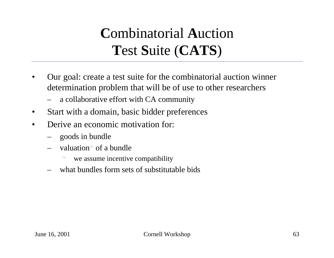# **C**ombinatorial **A**uction **T**est **S**uite (**CATS**)

- • Our goal: create a test suite for the combinatorial auction winner determination problem that will be of use to other researchers
	- a collaborative effort with CA community
- •Start with a domain, basic bidder preferences
- • Derive an economic motivation for:
	- goods in bundle
	- valuation\* of a bundle
		- \*we assume incentive compatibility
	- what bundles form sets of substitutable bids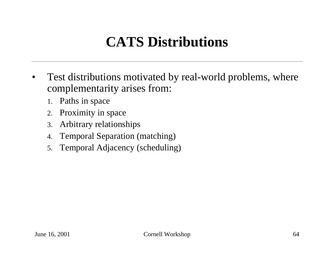# **CATS Distributions**

- •Test distributions motivated by real-world problems, where complementarity arises from:
	- 1.Paths in space
	- 2.Proximity in space
	- 3.Arbitrary relationships
	- 4.Temporal Separation (matching)
	- 5.Temporal Adjacency (scheduling)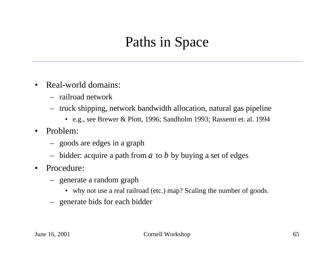## Paths in Space

- • Real-world domains:
	- railroad network
	- truck shipping, network bandwidth allocation, natural gas pipeline
		- e.g., see Brewer & Plott, 1996; Sandholm 1993; Rassenti et. al. 1994
- • Problem:
	- goods are edges in a graph
	- bidder: acquire a path from *<sup>a</sup>* to *b* by buying a set of edges
- $\bullet$  Procedure:
	- generate a random graph
		- why not use a real railroad (etc.) map? Scaling the number of goods.
	- generate bids for each bidder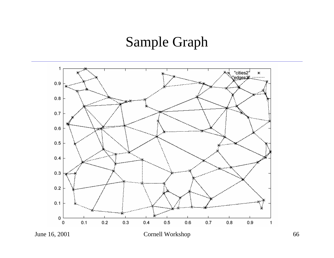#### Sample Graph

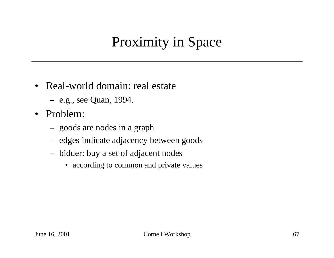# Proximity in Space

- Real-world domain: real estate
	- e.g., see Quan, 1994.
- Problem:
	- –goods are nodes in a graph
	- edges indicate adjacency between goods
	- bidder: buy a set of adjacent nodes
		- according to common and private values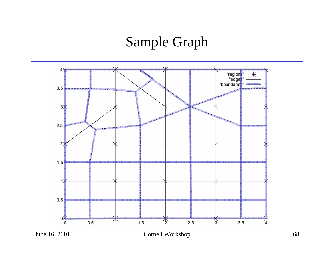#### Sample Graph

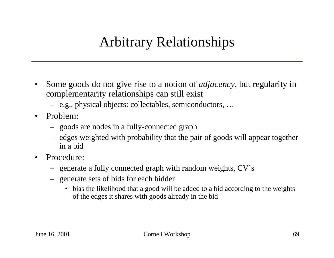# Arbitrary Relationships

- •Some goods do not give rise to a notion of *adjacency*, but regularity in complementarity relationships can still exist
	- e.g., physical objects: collectables, semiconductors, …
- •Problem:
	- goods are nodes in a fully-connected graph
	- edges weighted with probability that the pair of goods will appear together in a bid
- •Procedure:
	- generate a fully connected graph with random weights, CV's
	- generate sets of bids for each bidder
		- bias the likelihood that a good will be added to a bid according to the weights of the edges it shares with goods alr eady in the bid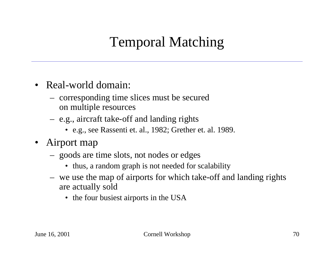# Temporal Matching

#### • Real-world domain:

- corresponding time slices must be secured on multiple resources
- e.g., aircraft take-off and landing rights
	- e.g., see Rassenti et. al., 1982; Grether et. al. 1989.
- Airport map
	- – goods are time slots, not nodes or edges
		- thus, a random graph is not needed for scalability
	- we use the map of airports for which take-off and landing rights are actually sold
		- the four busiest airports in the USA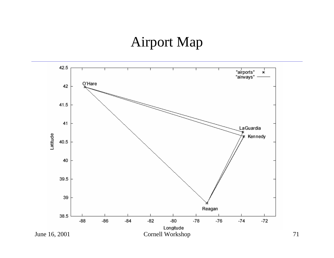#### Airport Map

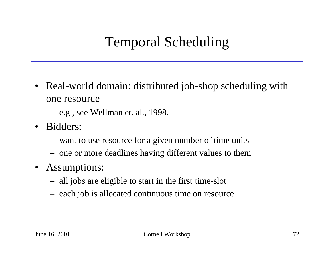# Temporal Scheduling

- Real-world domain: distributed job-shop scheduling with one resource
	- e.g., see Wellman et. al., 1998.
- Bidders:
	- want to use resource for a given number of time units
	- one or more deadlines having different values to them
- Assumptions:
	- all jobs are eligible to start in the first time-slot
	- – $-$  each job is allocated continuous time on resource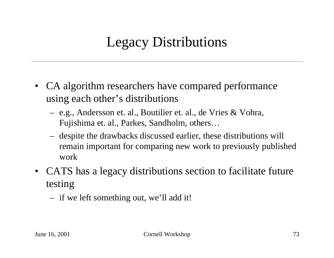## Legacy Distributions

- CA algorithm researchers have compared performance using each other's distributions
	- e.g., Andersson et. al., Boutilier et. al., de Vries & Vohra, Fujishima et. al., Parkes, Sandholm, others…
	- despite the drawbacks discussed earlier, these distributions will remain important for comparing new work to previously published work
- CATS has a legacy distributions section to facilitate future testing
	- if we left something out, we'll add it!